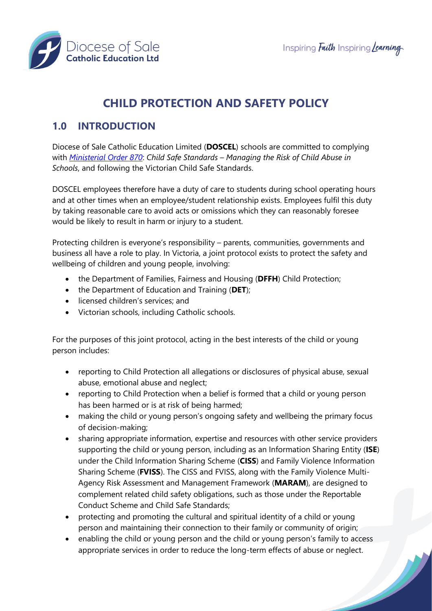

# **CHILD PROTECTION AND SAFETY POLICY**

# **1.0 INTRODUCTION**

Diocese of Sale Catholic Education Limited (**DOSCEL**) schools are committed to complying with *[Ministerial Order 870](http://www.gazette.vic.gov.au/gazette/Gazettes2016/GG2016S002.pdf)*: *Child Safe Standards – Managing the Risk of Child Abuse in Schools*, and following the Victorian Child Safe Standards.

DOSCEL employees therefore have a duty of care to students during school operating hours and at other times when an employee/student relationship exists. Employees fulfil this duty by taking reasonable care to avoid acts or omissions which they can reasonably foresee would be likely to result in harm or injury to a student.

Protecting children is everyone's responsibility – parents, communities, governments and business all have a role to play. In Victoria, a joint protocol exists to protect the safety and wellbeing of children and young people, involving:

- the Department of Families, Fairness and Housing (**DFFH**) Child Protection;
- the Department of Education and Training (**DET**);
- licensed children's services; and
- Victorian schools, including Catholic schools.

For the purposes of this joint protocol, acting in the best interests of the child or young person includes:

- reporting to Child Protection all allegations or disclosures of physical abuse, sexual abuse, emotional abuse and neglect;
- reporting to Child Protection when a belief is formed that a child or young person has been harmed or is at risk of being harmed;
- making the child or young person's ongoing safety and wellbeing the primary focus of decision-making;
- sharing appropriate information, expertise and resources with other service providers supporting the child or young person, including as an Information Sharing Entity (**ISE**) under the Child Information Sharing Scheme (**CISS**) and Family Violence Information Sharing Scheme (**FVISS**). The CISS and FVISS, along with the Family Violence Multi-Agency Risk Assessment and Management Framework (**MARAM**), are designed to complement related child safety obligations, such as those under the Reportable Conduct Scheme and Child Safe Standards;
- protecting and promoting the cultural and spiritual identity of a child or young person and maintaining their connection to their family or community of origin;
- enabling the child or young person and the child or young person's family to access appropriate services in order to reduce the long-term effects of abuse or neglect.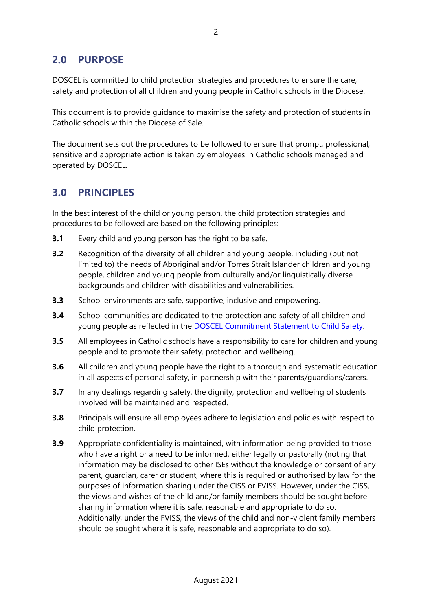## **2.0 PURPOSE**

DOSCEL is committed to child protection strategies and procedures to ensure the care, safety and protection of all children and young people in Catholic schools in the Diocese.

This document is to provide guidance to maximise the safety and protection of students in Catholic schools within the Diocese of Sale.

The document sets out the procedures to be followed to ensure that prompt, professional, sensitive and appropriate action is taken by employees in Catholic schools managed and operated by DOSCEL.

### **3.0 PRINCIPLES**

In the best interest of the child or young person, the child protection strategies and procedures to be followed are based on the following principles:

- **3.1** Every child and young person has the right to be safe.
- **3.2** Recognition of the diversity of all children and young people, including (but not limited to) the needs of Aboriginal and/or Torres Strait Islander children and young people, children and young people from culturally and/or linguistically diverse backgrounds and children with disabilities and vulnerabilities.
- **3.3** School environments are safe, supportive, inclusive and empowering.
- **3.4** School communities are dedicated to the protection and safety of all children and young people as reflected in the [DOSCEL Commitment Statement to Child Safety.](https://drive.google.com/file/d/1aDNE07imCXRxXAdsdXFt52jez36vJWEx/view?usp=sharing)
- **3.5** All employees in Catholic schools have a responsibility to care for children and young people and to promote their safety, protection and wellbeing.
- **3.6** All children and young people have the right to a thorough and systematic education in all aspects of personal safety, in partnership with their parents/guardians/carers.
- **3.7** In any dealings regarding safety, the dignity, protection and wellbeing of students involved will be maintained and respected.
- **3.8** Principals will ensure all employees adhere to legislation and policies with respect to child protection.
- **3.9** Appropriate confidentiality is maintained, with information being provided to those who have a right or a need to be informed, either legally or pastorally (noting that information may be disclosed to other ISEs without the knowledge or consent of any parent, guardian, carer or student, where this is required or authorised by law for the purposes of information sharing under the CISS or FVISS. However, under the CISS, the views and wishes of the child and/or family members should be sought before sharing information where it is safe, reasonable and appropriate to do so. Additionally, under the FVISS, the views of the child and non-violent family members should be sought where it is safe, reasonable and appropriate to do so).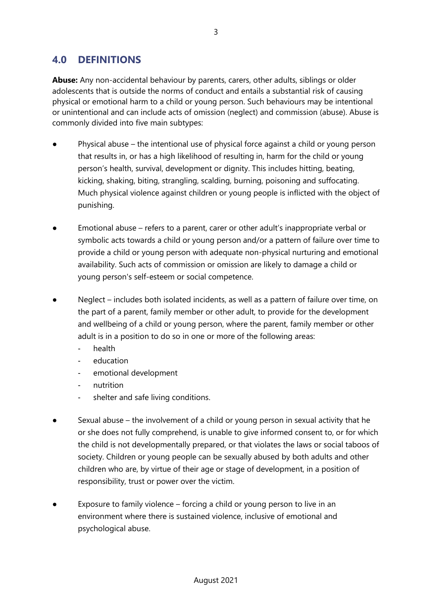### **4.0 DEFINITIONS**

**Abuse:** Any non-accidental behaviour by parents, carers, other adults, siblings or older adolescents that is outside the norms of conduct and entails a substantial risk of causing physical or emotional harm to a child or young person. Such behaviours may be intentional or unintentional and can include acts of omission (neglect) and commission (abuse). Abuse is commonly divided into five main subtypes:

- Physical abuse the intentional use of physical force against a child or young person that results in, or has a high likelihood of resulting in, harm for the child or young person's health, survival, development or dignity. This includes hitting, beating, kicking, shaking, biting, strangling, scalding, burning, poisoning and suffocating. Much physical violence against children or young people is inflicted with the object of punishing.
- Emotional abuse refers to a parent, carer or other adult's inappropriate verbal or symbolic acts towards a child or young person and/or a pattern of failure over time to provide a child or young person with adequate non-physical nurturing and emotional availability. Such acts of commission or omission are likely to damage a child or young person's self-esteem or social competence.
- Neglect includes both isolated incidents, as well as a pattern of failure over time, on the part of a parent, family member or other adult, to provide for the development and wellbeing of a child or young person, where the parent, family member or other adult is in a position to do so in one or more of the following areas:
	- health
	- education
	- emotional development
	- nutrition
	- shelter and safe living conditions.
- Sexual abuse the involvement of a child or young person in sexual activity that he or she does not fully comprehend, is unable to give informed consent to, or for which the child is not developmentally prepared, or that violates the laws or social taboos of society. Children or young people can be sexually abused by both adults and other children who are, by virtue of their age or stage of development, in a position of responsibility, trust or power over the victim.
- Exposure to family violence forcing a child or young person to live in an environment where there is sustained violence, inclusive of emotional and psychological abuse.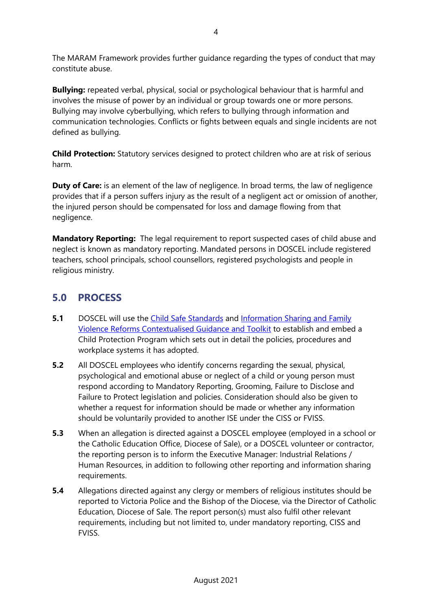The MARAM Framework provides further guidance regarding the types of conduct that may constitute abuse.

**Bullying:** repeated verbal, physical, social or psychological behaviour that is harmful and involves the misuse of power by an individual or group towards one or more persons. Bullying may involve cyberbullying, which refers to bullying through information and communication technologies. Conflicts or fights between equals and single incidents are not defined as bullying.

**Child Protection:** Statutory services designed to protect children who are at risk of serious harm.

**Duty of Care:** is an element of the law of negligence. In broad terms, the law of negligence provides that if a person suffers injury as the result of a negligent act or omission of another, the injured person should be compensated for loss and damage flowing from that negligence.

**Mandatory Reporting:** The legal requirement to report suspected cases of child abuse and neglect is known as mandatory reporting. Mandated persons in DOSCEL include registered teachers, school principals, school counsellors, registered psychologists and people in religious ministry.

# **5.0 PROCESS**

- **5.1** DOSCEL will use the [Child Safe Standards](http://www.gazette.vic.gov.au/gazette/Gazettes2016/GG2016S002.pdf) and Information Sharing and Family [Violence Reforms Contextualised Guidance](https://www.education.vic.gov.au/Documents/school/teachers/health/V10_Info%20Sharing%20and%20Family%20Violence%20Reforms%20Contextualised%20Guidance.pdf) and Toolkit to establish and embed a Child Protection Program which sets out in detail the policies, procedures and workplace systems it has adopted.
- **5.2** All DOSCEL employees who identify concerns regarding the sexual, physical, psychological and emotional abuse or neglect of a child or young person must respond according to Mandatory Reporting, Grooming, Failure to Disclose and Failure to Protect legislation and policies. Consideration should also be given to whether a request for information should be made or whether any information should be voluntarily provided to another ISE under the CISS or FVISS.
- **5.3** When an allegation is directed against a DOSCEL employee (employed in a school or the Catholic Education Office, Diocese of Sale), or a DOSCEL volunteer or contractor, the reporting person is to inform the Executive Manager: Industrial Relations / Human Resources, in addition to following other reporting and information sharing requirements.
- **5.4** Allegations directed against any clergy or members of religious institutes should be reported to Victoria Police and the Bishop of the Diocese, via the Director of Catholic Education, Diocese of Sale. The report person(s) must also fulfil other relevant requirements, including but not limited to, under mandatory reporting, CISS and **FVISS**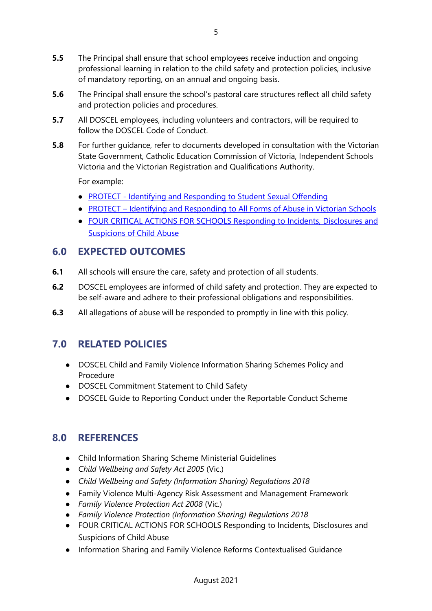- **5.5** The Principal shall ensure that school employees receive induction and ongoing professional learning in relation to the child safety and protection policies, inclusive of mandatory reporting, on an annual and ongoing basis.
- **5.6** The Principal shall ensure the school's pastoral care structures reflect all child safety and protection policies and procedures.
- **5.7** All DOSCEL employees, including volunteers and contractors, will be required to follow the DOSCEL Code of Conduct.
- **5.8** For further guidance, refer to documents developed in consultation with the Victorian State Government, Catholic Education Commission of Victoria, Independent Schools Victoria and the Victorian Registration and Qualifications Authority.

For example:

- PROTECT [Identifying and Responding to Student Sexual Offending](https://www.education.vic.gov.au/Documents/about/programs/health/protect/SSO_Policy.pdf)
- PROTECT [Identifying and Responding to All Forms of Abuse in Victorian Schools](https://www.education.vic.gov.au/Documents/about/programs/health/protect/ChildSafeStandard5_SchoolsGuide.pdf)
- [FOUR CRITICAL ACTIONS FOR SCHOOLS Responding to Incidents, Disclosures and](https://www.education.vic.gov.au/Documents/about/programs/health/protect/FourCriticalActions_ChildAbuse.pdf)  [Suspicions of Child Abuse](https://www.education.vic.gov.au/Documents/about/programs/health/protect/FourCriticalActions_ChildAbuse.pdf)

### **6.0 EXPECTED OUTCOMES**

- **6.1** All schools will ensure the care, safety and protection of all students.
- **6.2** DOSCEL employees are informed of child safety and protection. They are expected to be self-aware and adhere to their professional obligations and responsibilities.
- **6.3** All allegations of abuse will be responded to promptly in line with this policy.

## **7.0 RELATED POLICIES**

- DOSCEL Child and Family Violence Information Sharing Schemes Policy and Procedure
- DOSCEL Commitment Statement to Child Safety
- DOSCEL Guide to Reporting Conduct under the Reportable Conduct Scheme

## **8.0 REFERENCES**

- Child Information Sharing Scheme Ministerial Guidelines
- *Child Wellbeing and Safety Act 2005* (Vic.)
- *Child Wellbeing and Safety (Information Sharing) Regulations 2018*
- Family Violence Multi-Agency Risk Assessment and Management Framework
- *Family Violence Protection Act 2008* (Vic.)
- *Family Violence Protection (Information Sharing) Regulations 2018*
- FOUR CRITICAL ACTIONS FOR SCHOOLS Responding to Incidents, Disclosures and Suspicions of Child Abuse
- Information Sharing and Family Violence Reforms Contextualised Guidance